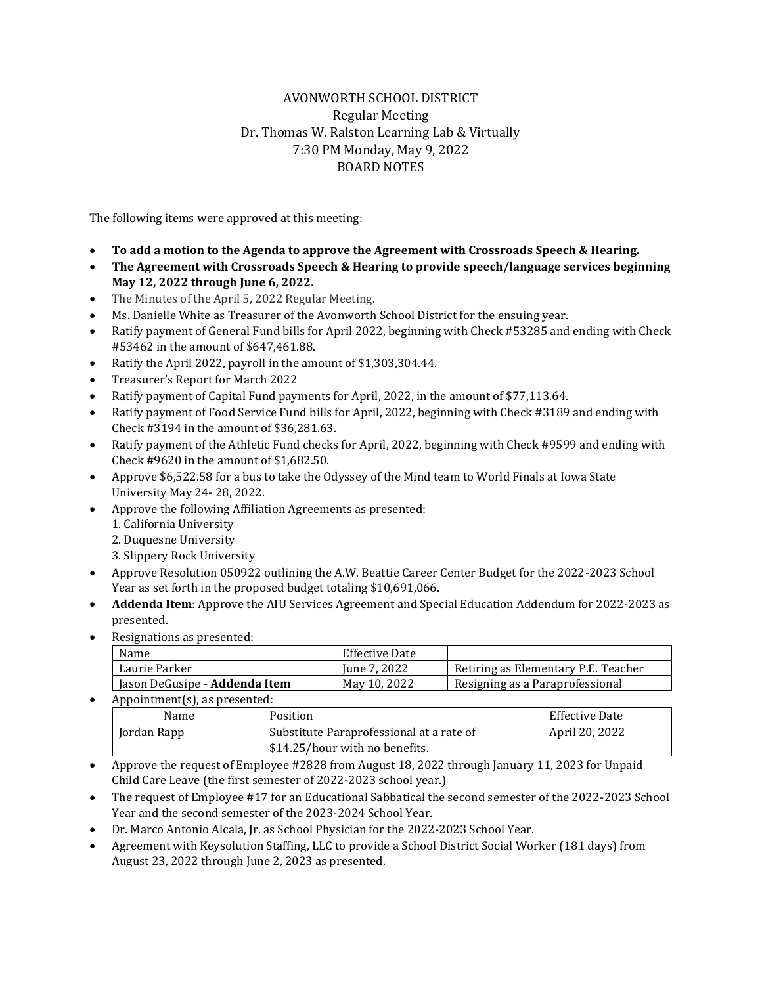## AVONWORTH SCHOOL DISTRICT Regular Meeting Dr. Thomas W. Ralston Learning Lab & Virtually 7:30 PM Monday, May 9, 2022 BOARD NOTES

The following items were approved at this meeting:

- **To add a motion to the Agenda to approve the Agreement with Crossroads Speech & Hearing.**
- **The Agreement with Crossroads Speech & Hearing to provide speech/language services beginning May 12, 2022 through June 6, 2022.**
- The Minutes of the April 5, 2022 Regular Meeting.
- Ms. Danielle White as Treasurer of the Avonworth School District for the ensuing year.
- Ratify payment of General Fund bills for April 2022, beginning with Check #53285 and ending with Check #53462 in the amount of \$647,461.88.
- Ratify the April 2022, payroll in the amount of \$1,303,304.44.
- Treasurer's Report for March 2022
- Ratify payment of Capital Fund payments for April, 2022, in the amount of \$77,113.64.
- Ratify payment of Food Service Fund bills for April, 2022, beginning with Check #3189 and ending with Check #3194 in the amount of \$36,281.63.
- Ratify payment of the Athletic Fund checks for April, 2022, beginning with Check #9599 and ending with Check #9620 in the amount of \$1,682.50.
- Approve \$6,522.58 for a bus to take the Odyssey of the Mind team to World Finals at Iowa State University May 24- 28, 2022.
- Approve the following Affiliation Agreements as presented:
	- 1. California University
	- 2. Duquesne University
	- 3. Slippery Rock University
- Approve Resolution 050922 outlining the A.W. Beattie Career Center Budget for the 2022-2023 School Year as set forth in the proposed budget totaling \$10,691,066.
- **Addenda Item**: Approve the AIU Services Agreement and Special Education Addendum for 2022-2023 as presented.
- Resignations as presented:

| Name                                 | Effective Date |                                     |
|--------------------------------------|----------------|-------------------------------------|
| Laurie Parker                        | June 7, 2022   | Retiring as Elementary P.E. Teacher |
| Jason DeGusipe - <b>Addenda Item</b> | May 10, 2022   | Resigning as a Paraprofessional     |
|                                      |                |                                     |

• Appointment(s), as presented:

| Name        | Position                                 | Effective Date |
|-------------|------------------------------------------|----------------|
| Jordan Rapp | Substitute Paraprofessional at a rate of | April 20, 2022 |
|             | \$14.25/hour with no benefits.           |                |

- Approve the request of Employee #2828 from August 18, 2022 through January 11, 2023 for Unpaid Child Care Leave (the first semester of 2022-2023 school year.)
- The request of Employee #17 for an Educational Sabbatical the second semester of the 2022-2023 School Year and the second semester of the 2023-2024 School Year.
- Dr. Marco Antonio Alcala, Jr. as School Physician for the 2022-2023 School Year.
- Agreement with Keysolution Staffing, LLC to provide a School District Social Worker (181 days) from August 23, 2022 through June 2, 2023 as presented.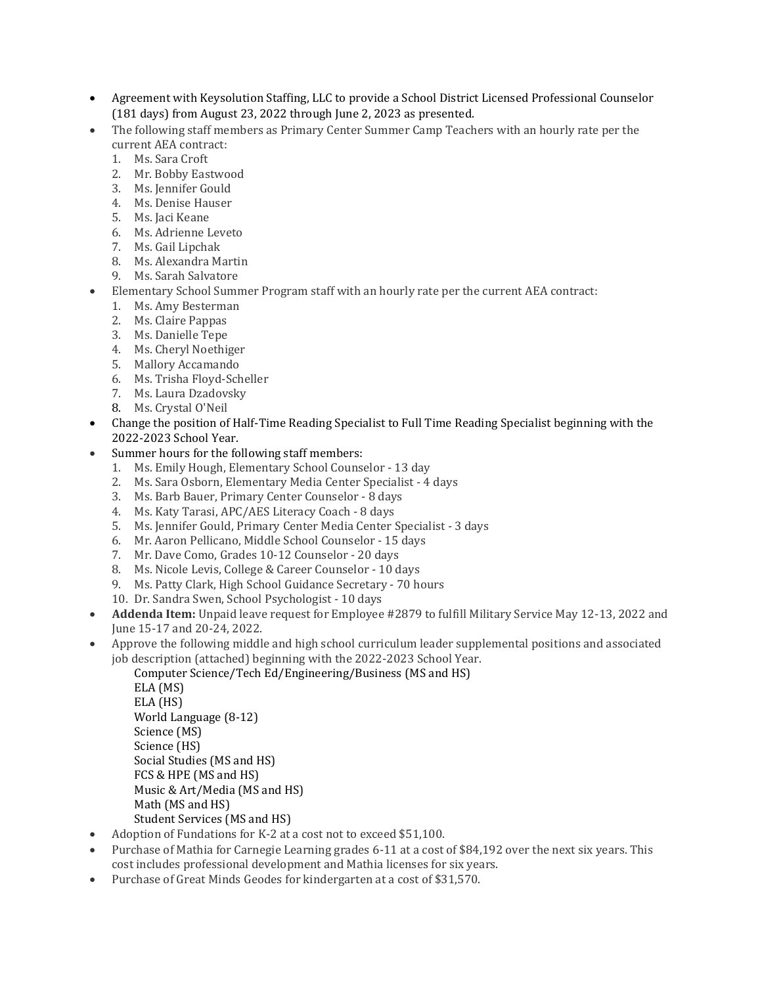- Agreement with Keysolution Staffing, LLC to provide a School District Licensed Professional Counselor (181 days) from August 23, 2022 through June 2, 2023 as presented.
- The following staff members as Primary Center Summer Camp Teachers with an hourly rate per the current AEA contract:
	- 1. Ms. Sara Croft
	- 2. Mr. Bobby Eastwood
	- 3. Ms. Jennifer Gould
	- 4. Ms. Denise Hauser
	- 5. Ms. Jaci Keane
	- 6. Ms. Adrienne Leveto
	- 7. Ms. Gail Lipchak
	- 8. Ms. Alexandra Martin
	- 9. Ms. Sarah Salvatore
- Elementary School Summer Program staff with an hourly rate per the current AEA contract:
	- 1. Ms. Amy Besterman
	- 2. Ms. Claire Pappas
	- 3. Ms. Danielle Tepe
	- 4. Ms. Cheryl Noethiger
	- 5. Mallory Accamando
	- 6. Ms. Trisha Floyd-Scheller
	- 7. Ms. Laura Dzadovsky
	- 8. Ms. Crystal O'Neil
- Change the position of Half-Time Reading Specialist to Full Time Reading Specialist beginning with the 2022-2023 School Year.
- Summer hours for the following staff members:
	- 1. Ms. Emily Hough, Elementary School Counselor 13 day
	- 2. Ms. Sara Osborn, Elementary Media Center Specialist 4 days
	- 3. Ms. Barb Bauer, Primary Center Counselor 8 days
	- 4. Ms. Katy Tarasi, APC/AES Literacy Coach 8 days
	- 5. Ms. Jennifer Gould, Primary Center Media Center Specialist 3 days
	- 6. Mr. Aaron Pellicano, Middle School Counselor 15 days
	- 7. Mr. Dave Como, Grades 10-12 Counselor 20 days
	- 8. Ms. Nicole Levis, College & Career Counselor 10 days
	- 9. Ms. Patty Clark, High School Guidance Secretary 70 hours
	- 10. Dr. Sandra Swen, School Psychologist 10 days
- **Addenda Item:** Unpaid leave request for Employee #2879 to fulfill Military Service May 12-13, 2022 and June 15-17 and 20-24, 2022.
- Approve the following middle and high school curriculum leader supplemental positions and associated job description (attached) beginning with the 2022-2023 School Year.
	- Computer Science/Tech Ed/Engineering/Business (MS and HS)

ELA (MS) ELA (HS) World Language (8-12) Science (MS) Science (HS) Social Studies (MS and HS) FCS & HPE (MS and HS) Music & Art/Media (MS and HS) Math (MS and HS) Student Services (MS and HS)

- Adoption of Fundations for K-2 at a cost not to exceed \$51,100.
- Purchase of Mathia for Carnegie Learning grades 6-11 at a cost of \$84,192 over the next six years. This cost includes professional development and Mathia licenses for six years.
- Purchase of Great Minds Geodes for kindergarten at a cost of \$31,570.